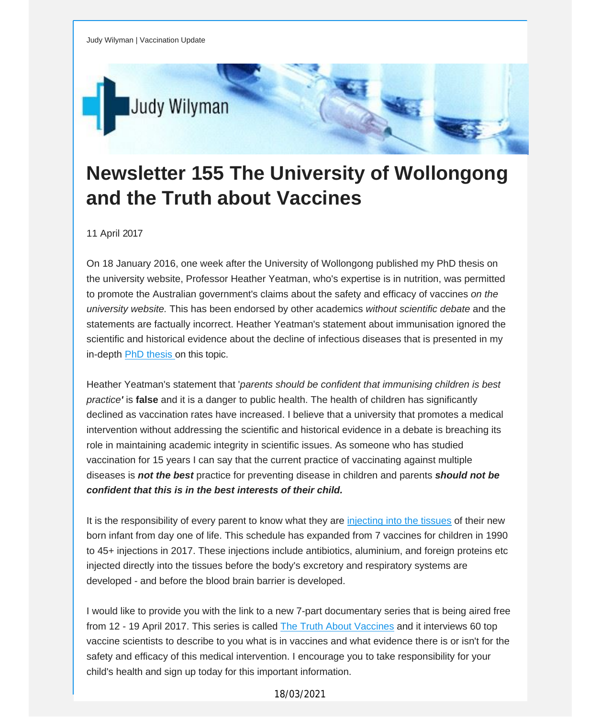

## **Newsletter 155 The University of Wollongong and the Truth about Vaccines**

11 April 2017

On 18 January 2016, one week after the University of Wollongong published my PhD thesis on the university website, Professor Heather Yeatman, who's expertise is in nutrition, was permitted to promote the Australian government's claims about the safety and efficacy of vaccines *on the university website.* This has been endorsed by other academics *without scientific debate* and the statements are factually incorrect. Heather Yeatman's statement about immunisation ignored the scientific and historical evidence about the decline of infectious diseases that is presented in my in-depth PhD [thesis](http://vaccinationdecisions.us8.list-manage.com/track/click?u=f20605fde3732e41929f4a3f2&id=e1041c3b8d&e=fec8337d3c) on this topic.

Heather Yeatman's statement that '*parents should be confident that immunising children is best practice'* is **false** and it is a danger to public health. The health of children has significantly declined as vaccination rates have increased. I believe that a university that promotes a medical intervention without addressing the scientific and historical evidence in a debate is breaching its role in maintaining academic integrity in scientific issues. As someone who has studied vaccination for 15 years I can say that the current practice of vaccinating against multiple diseases is *not the best* practice for preventing disease in children and parents *should not be confident that this is in the best interests of their child.*

It is the responsibility of every parent to know what they are [injecting](http://vaccinationdecisions.us8.list-manage.com/track/click?u=f20605fde3732e41929f4a3f2&id=6d607ca6ce&e=fec8337d3c) into the tissues of their new born infant from day one of life. This schedule has expanded from 7 vaccines for children in 1990 to 45+ injections in 2017. These injections include antibiotics, aluminium, and foreign proteins etc injected directly into the tissues before the body's excretory and respiratory systems are developed - and before the blood brain barrier is developed.

I would like to provide you with the link to a new 7-part documentary series that is being aired free from 12 - 19 April 2017. This series is called The Truth About [Vaccines](http://vaccinationdecisions.us8.list-manage.com/track/click?u=f20605fde3732e41929f4a3f2&id=85bd873185&e=fec8337d3c) and it interviews 60 top vaccine scientists to describe to you what is in vaccines and what evidence there is or isn't for the safety and efficacy of this medical intervention. I encourage you to take responsibility for your child's health and sign up today for this important information.

## 18/03/2021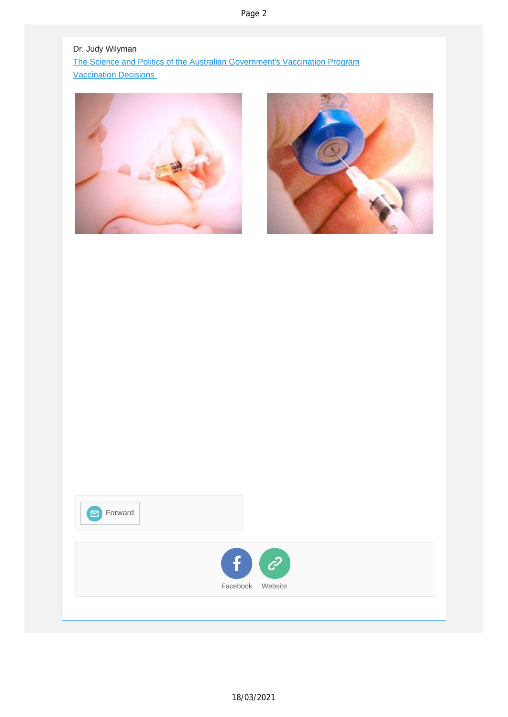Page 2

Dr. Judy Wilyman The Science and Politics of the Australian [Government's](http://vaccinationdecisions.us8.list-manage.com/track/click?u=f20605fde3732e41929f4a3f2&id=d02445b909&e=fec8337d3c) Vaccination Program [Vaccination](http://vaccinationdecisions.us8.list-manage1.com/track/click?u=f20605fde3732e41929f4a3f2&id=a50c836536&e=fec8337d3c) Decisions